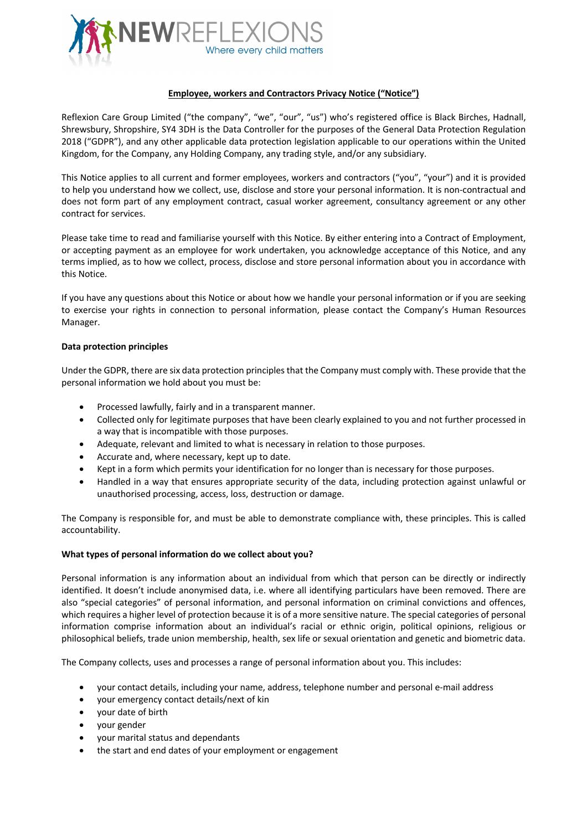

# **Employee, workers and Contractors Privacy Notice ("Notice")**

Reflexion Care Group Limited ("the company", "we", "our", "us") who's registered office is Black Birches, Hadnall, Shrewsbury, Shropshire, SY4 3DH is the Data Controller for the purposes of the General Data Protection Regulation 2018 ("GDPR"), and any other applicable data protection legislation applicable to our operations within the United Kingdom, for the Company, any Holding Company, any trading style, and/or any subsidiary.

This Notice applies to all current and former employees, workers and contractors ("you", "your") and it is provided to help you understand how we collect, use, disclose and store your personal information. It is non-contractual and does not form part of any employment contract, casual worker agreement, consultancy agreement or any other contract for services.

Please take time to read and familiarise yourself with this Notice. By either entering into a Contract of Employment, or accepting payment as an employee for work undertaken, you acknowledge acceptance of this Notice, and any terms implied, as to how we collect, process, disclose and store personal information about you in accordance with this Notice.

If you have any questions about this Notice or about how we handle your personal information or if you are seeking to exercise your rights in connection to personal information, please contact the Company's Human Resources Manager.

## **Data protection principles**

Under the GDPR, there are six data protection principles that the Company must comply with. These provide that the personal information we hold about you must be:

- Processed lawfully, fairly and in a transparent manner.
- Collected only for legitimate purposes that have been clearly explained to you and not further processed in a way that is incompatible with those purposes.
- Adequate, relevant and limited to what is necessary in relation to those purposes.
- Accurate and, where necessary, kept up to date.
- Kept in a form which permits your identification for no longer than is necessary for those purposes.
- Handled in a way that ensures appropriate security of the data, including protection against unlawful or unauthorised processing, access, loss, destruction or damage.

The Company is responsible for, and must be able to demonstrate compliance with, these principles. This is called accountability.

## **What types of personal information do we collect about you?**

Personal information is any information about an individual from which that person can be directly or indirectly identified. It doesn't include anonymised data, i.e. where all identifying particulars have been removed. There are also "special categories" of personal information, and personal information on criminal convictions and offences, which requires a higher level of protection because it is of a more sensitive nature. The special categories of personal information comprise information about an individual's racial or ethnic origin, political opinions, religious or philosophical beliefs, trade union membership, health, sex life or sexual orientation and genetic and biometric data.

The Company collects, uses and processes a range of personal information about you. This includes:

- your contact details, including your name, address, telephone number and personal e-mail address
- your emergency contact details/next of kin
- your date of birth
- your gender
- your marital status and dependants
- the start and end dates of your employment or engagement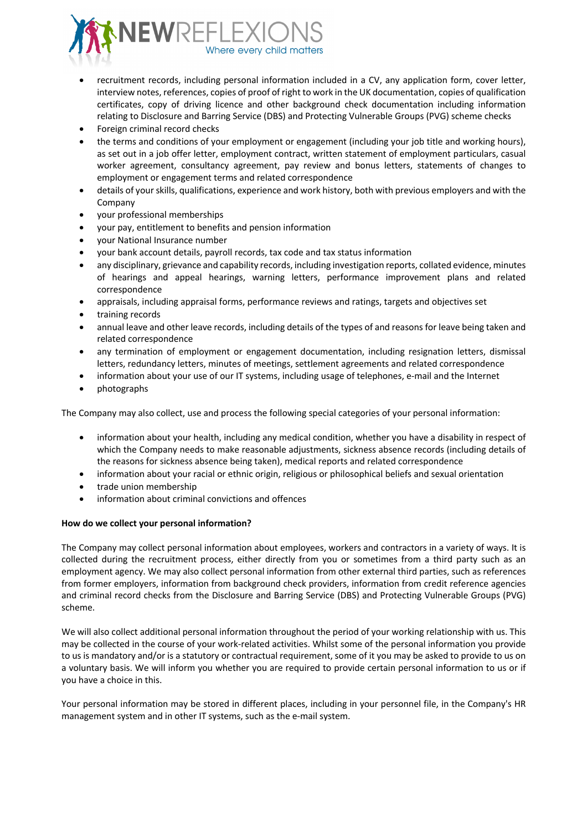

- recruitment records, including personal information included in a CV, any application form, cover letter, interview notes, references, copies of proof of right to work in the UK documentation, copies of qualification certificates, copy of driving licence and other background check documentation including information relating to Disclosure and Barring Service (DBS) and Protecting Vulnerable Groups (PVG) scheme checks
- Foreign criminal record checks
- the terms and conditions of your employment or engagement (including your job title and working hours), as set out in a job offer letter, employment contract, written statement of employment particulars, casual worker agreement, consultancy agreement, pay review and bonus letters, statements of changes to employment or engagement terms and related correspondence
- details of your skills, qualifications, experience and work history, both with previous employers and with the Company
- your professional memberships
- your pay, entitlement to benefits and pension information
- your National Insurance number
- your bank account details, payroll records, tax code and tax status information
- any disciplinary, grievance and capability records, including investigation reports, collated evidence, minutes of hearings and appeal hearings, warning letters, performance improvement plans and related correspondence
- appraisals, including appraisal forms, performance reviews and ratings, targets and objectives set
- training records
- annual leave and other leave records, including details of the types of and reasons for leave being taken and related correspondence
- any termination of employment or engagement documentation, including resignation letters, dismissal letters, redundancy letters, minutes of meetings, settlement agreements and related correspondence
- information about your use of our IT systems, including usage of telephones, e-mail and the Internet
- photographs

The Company may also collect, use and process the following special categories of your personal information:

- information about your health, including any medical condition, whether you have a disability in respect of which the Company needs to make reasonable adjustments, sickness absence records (including details of the reasons for sickness absence being taken), medical reports and related correspondence
- information about your racial or ethnic origin, religious or philosophical beliefs and sexual orientation
- trade union membership
- information about criminal convictions and offences

## **How do we collect your personal information?**

The Company may collect personal information about employees, workers and contractors in a variety of ways. It is collected during the recruitment process, either directly from you or sometimes from a third party such as an employment agency. We may also collect personal information from other external third parties, such as references from former employers, information from background check providers, information from credit reference agencies and criminal record checks from the Disclosure and Barring Service (DBS) and Protecting Vulnerable Groups (PVG) scheme.

We will also collect additional personal information throughout the period of your working relationship with us. This may be collected in the course of your work-related activities. Whilst some of the personal information you provide to us is mandatory and/or is a statutory or contractual requirement, some of it you may be asked to provide to us on a voluntary basis. We will inform you whether you are required to provide certain personal information to us or if you have a choice in this.

Your personal information may be stored in different places, including in your personnel file, in the Company's HR management system and in other IT systems, such as the e-mail system.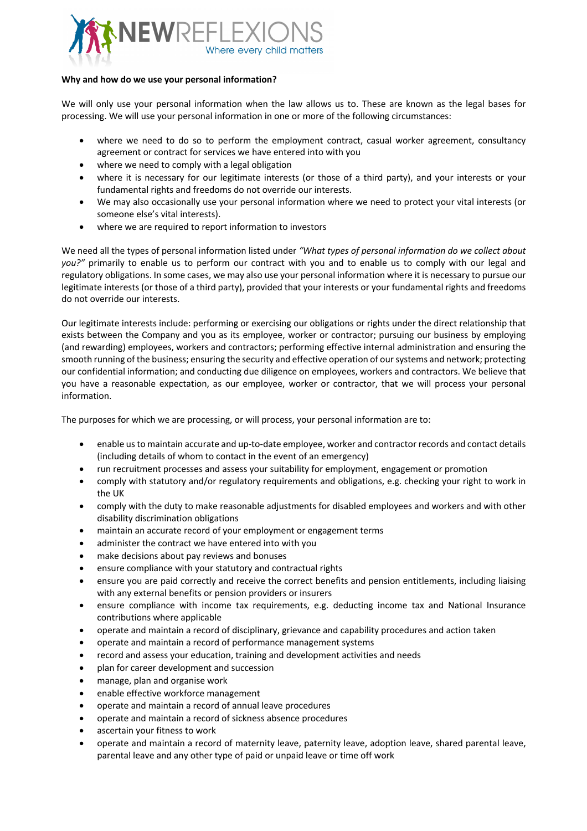

## **Why and how do we use your personal information?**

We will only use your personal information when the law allows us to. These are known as the legal bases for processing. We will use your personal information in one or more of the following circumstances:

- where we need to do so to perform the employment contract, casual worker agreement, consultancy agreement or contract for services we have entered into with you
- where we need to comply with a legal obligation
- where it is necessary for our legitimate interests (or those of a third party), and your interests or your fundamental rights and freedoms do not override our interests.
- We may also occasionally use your personal information where we need to protect your vital interests (or someone else's vital interests).
- where we are required to report information to investors

We need all the types of personal information listed under *"What types of personal information do we collect about you?"* primarily to enable us to perform our contract with you and to enable us to comply with our legal and regulatory obligations. In some cases, we may also use your personal information where it is necessary to pursue our legitimate interests (or those of a third party), provided that your interests or your fundamental rights and freedoms do not override our interests.

Our legitimate interests include: performing or exercising our obligations or rights under the direct relationship that exists between the Company and you as its employee, worker or contractor; pursuing our business by employing (and rewarding) employees, workers and contractors; performing effective internal administration and ensuring the smooth running of the business; ensuring the security and effective operation of oursystems and network; protecting our confidential information; and conducting due diligence on employees, workers and contractors. We believe that you have a reasonable expectation, as our employee, worker or contractor, that we will process your personal information.

The purposes for which we are processing, or will process, your personal information are to:

- enable us to maintain accurate and up-to-date employee, worker and contractor records and contact details (including details of whom to contact in the event of an emergency)
- run recruitment processes and assess your suitability for employment, engagement or promotion
- comply with statutory and/or regulatory requirements and obligations, e.g. checking your right to work in the UK
- comply with the duty to make reasonable adjustments for disabled employees and workers and with other disability discrimination obligations
- maintain an accurate record of your employment or engagement terms
- administer the contract we have entered into with you
- make decisions about pay reviews and bonuses
- ensure compliance with your statutory and contractual rights
- ensure you are paid correctly and receive the correct benefits and pension entitlements, including liaising with any external benefits or pension providers or insurers
- ensure compliance with income tax requirements, e.g. deducting income tax and National Insurance contributions where applicable
- operate and maintain a record of disciplinary, grievance and capability procedures and action taken
- operate and maintain a record of performance management systems
- record and assess your education, training and development activities and needs
- plan for career development and succession
- manage, plan and organise work
- enable effective workforce management
- operate and maintain a record of annual leave procedures
- operate and maintain a record of sickness absence procedures
- ascertain your fitness to work
- operate and maintain a record of maternity leave, paternity leave, adoption leave, shared parental leave, parental leave and any other type of paid or unpaid leave or time off work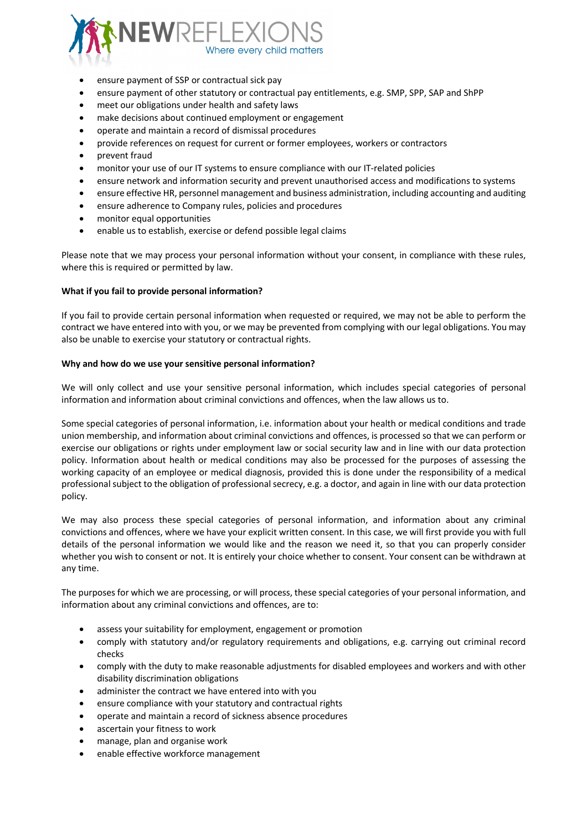

- ensure payment of SSP or contractual sick pay
- ensure payment of other statutory or contractual pay entitlements, e.g. SMP, SPP, SAP and ShPP
- meet our obligations under health and safety laws
- make decisions about continued employment or engagement
- operate and maintain a record of dismissal procedures
- provide references on request for current or former employees, workers or contractors
- prevent fraud
- monitor your use of our IT systems to ensure compliance with our IT-related policies
- ensure network and information security and prevent unauthorised access and modifications to systems
- ensure effective HR, personnel management and business administration, including accounting and auditing
- ensure adherence to Company rules, policies and procedures
- monitor equal opportunities
- enable us to establish, exercise or defend possible legal claims

Please note that we may process your personal information without your consent, in compliance with these rules, where this is required or permitted by law.

## **What if you fail to provide personal information?**

If you fail to provide certain personal information when requested or required, we may not be able to perform the contract we have entered into with you, or we may be prevented from complying with our legal obligations. You may also be unable to exercise your statutory or contractual rights.

## **Why and how do we use your sensitive personal information?**

We will only collect and use your sensitive personal information, which includes special categories of personal information and information about criminal convictions and offences, when the law allows us to.

Some special categories of personal information, i.e. information about your health or medical conditions and trade union membership, and information about criminal convictions and offences, is processed so that we can perform or exercise our obligations or rights under employment law or social security law and in line with our data protection policy. Information about health or medical conditions may also be processed for the purposes of assessing the working capacity of an employee or medical diagnosis, provided this is done under the responsibility of a medical professional subject to the obligation of professional secrecy, e.g. a doctor, and again in line with our data protection policy.

We may also process these special categories of personal information, and information about any criminal convictions and offences, where we have your explicit written consent. In this case, we will first provide you with full details of the personal information we would like and the reason we need it, so that you can properly consider whether you wish to consent or not. It is entirely your choice whether to consent. Your consent can be withdrawn at any time.

The purposes for which we are processing, or will process, these special categories of your personal information, and information about any criminal convictions and offences, are to:

- assess your suitability for employment, engagement or promotion
- comply with statutory and/or regulatory requirements and obligations, e.g. carrying out criminal record checks
- comply with the duty to make reasonable adjustments for disabled employees and workers and with other disability discrimination obligations
- administer the contract we have entered into with you
- ensure compliance with your statutory and contractual rights
- operate and maintain a record of sickness absence procedures
- ascertain your fitness to work
- manage, plan and organise work
- enable effective workforce management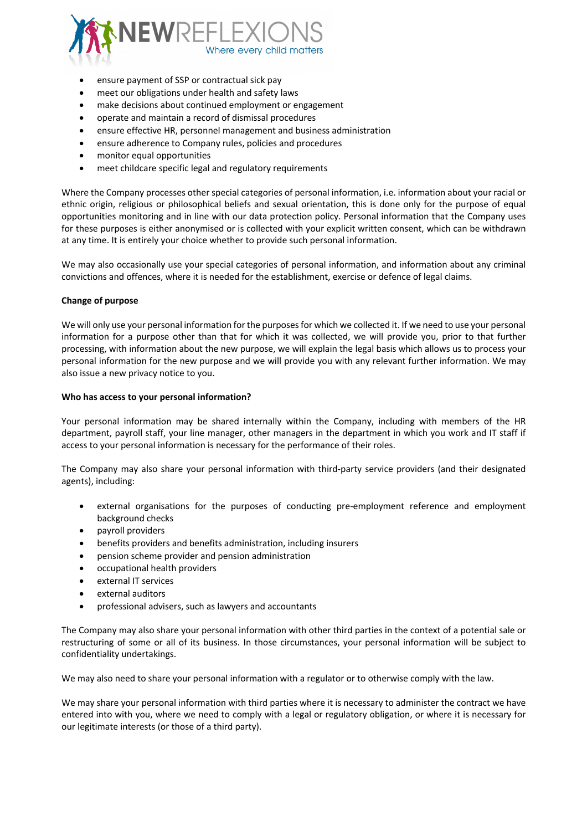

- ensure payment of SSP or contractual sick pay
- meet our obligations under health and safety laws
- make decisions about continued employment or engagement
- operate and maintain a record of dismissal procedures
- ensure effective HR, personnel management and business administration
- ensure adherence to Company rules, policies and procedures
- monitor equal opportunities
- meet childcare specific legal and regulatory requirements

Where the Company processes other special categories of personal information, i.e. information about your racial or ethnic origin, religious or philosophical beliefs and sexual orientation, this is done only for the purpose of equal opportunities monitoring and in line with our data protection policy. Personal information that the Company uses for these purposes is either anonymised or is collected with your explicit written consent, which can be withdrawn at any time. It is entirely your choice whether to provide such personal information.

We may also occasionally use your special categories of personal information, and information about any criminal convictions and offences, where it is needed for the establishment, exercise or defence of legal claims.

## **Change of purpose**

We will only use your personal information for the purposes for which we collected it. If we need to use your personal information for a purpose other than that for which it was collected, we will provide you, prior to that further processing, with information about the new purpose, we will explain the legal basis which allows us to process your personal information for the new purpose and we will provide you with any relevant further information. We may also issue a new privacy notice to you.

## **Who has access to your personal information?**

Your personal information may be shared internally within the Company, including with members of the HR department, payroll staff, your line manager, other managers in the department in which you work and IT staff if access to your personal information is necessary for the performance of their roles.

The Company may also share your personal information with third-party service providers (and their designated agents), including:

- external organisations for the purposes of conducting pre-employment reference and employment background checks
- payroll providers
- benefits providers and benefits administration, including insurers
- pension scheme provider and pension administration
- occupational health providers
- external IT services
- external auditors
- professional advisers, such as lawyers and accountants

The Company may also share your personal information with other third parties in the context of a potential sale or restructuring of some or all of its business. In those circumstances, your personal information will be subject to confidentiality undertakings.

We may also need to share your personal information with a regulator or to otherwise comply with the law.

We may share your personal information with third parties where it is necessary to administer the contract we have entered into with you, where we need to comply with a legal or regulatory obligation, or where it is necessary for our legitimate interests (or those of a third party).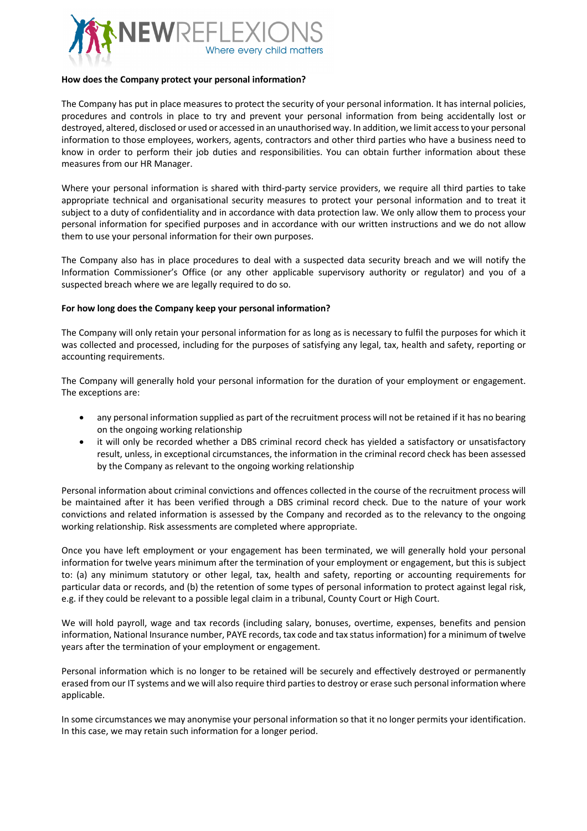

## **How does the Company protect your personal information?**

The Company has put in place measures to protect the security of your personal information. It has internal policies, procedures and controls in place to try and prevent your personal information from being accidentally lost or destroyed, altered, disclosed or used or accessed in an unauthorised way. In addition, we limit access to your personal information to those employees, workers, agents, contractors and other third parties who have a business need to know in order to perform their job duties and responsibilities. You can obtain further information about these measures from our HR Manager.

Where your personal information is shared with third-party service providers, we require all third parties to take appropriate technical and organisational security measures to protect your personal information and to treat it subject to a duty of confidentiality and in accordance with data protection law. We only allow them to process your personal information for specified purposes and in accordance with our written instructions and we do not allow them to use your personal information for their own purposes.

The Company also has in place procedures to deal with a suspected data security breach and we will notify the Information Commissioner's Office (or any other applicable supervisory authority or regulator) and you of a suspected breach where we are legally required to do so.

#### **For how long does the Company keep your personal information?**

The Company will only retain your personal information for as long as is necessary to fulfil the purposes for which it was collected and processed, including for the purposes of satisfying any legal, tax, health and safety, reporting or accounting requirements.

The Company will generally hold your personal information for the duration of your employment or engagement. The exceptions are:

- any personal information supplied as part of the recruitment process will not be retained if it has no bearing on the ongoing working relationship
- it will only be recorded whether a DBS criminal record check has yielded a satisfactory or unsatisfactory result, unless, in exceptional circumstances, the information in the criminal record check has been assessed by the Company as relevant to the ongoing working relationship

Personal information about criminal convictions and offences collected in the course of the recruitment process will be maintained after it has been verified through a DBS criminal record check. Due to the nature of your work convictions and related information is assessed by the Company and recorded as to the relevancy to the ongoing working relationship. Risk assessments are completed where appropriate.

Once you have left employment or your engagement has been terminated, we will generally hold your personal information for twelve years minimum after the termination of your employment or engagement, but this is subject to: (a) any minimum statutory or other legal, tax, health and safety, reporting or accounting requirements for particular data or records, and (b) the retention of some types of personal information to protect against legal risk, e.g. if they could be relevant to a possible legal claim in a tribunal, County Court or High Court.

We will hold payroll, wage and tax records (including salary, bonuses, overtime, expenses, benefits and pension information, National Insurance number, PAYE records, tax code and tax status information) for a minimum of twelve years after the termination of your employment or engagement.

Personal information which is no longer to be retained will be securely and effectively destroyed or permanently erased from our IT systems and we will also require third parties to destroy or erase such personal information where applicable.

In some circumstances we may anonymise your personal information so that it no longer permits your identification. In this case, we may retain such information for a longer period.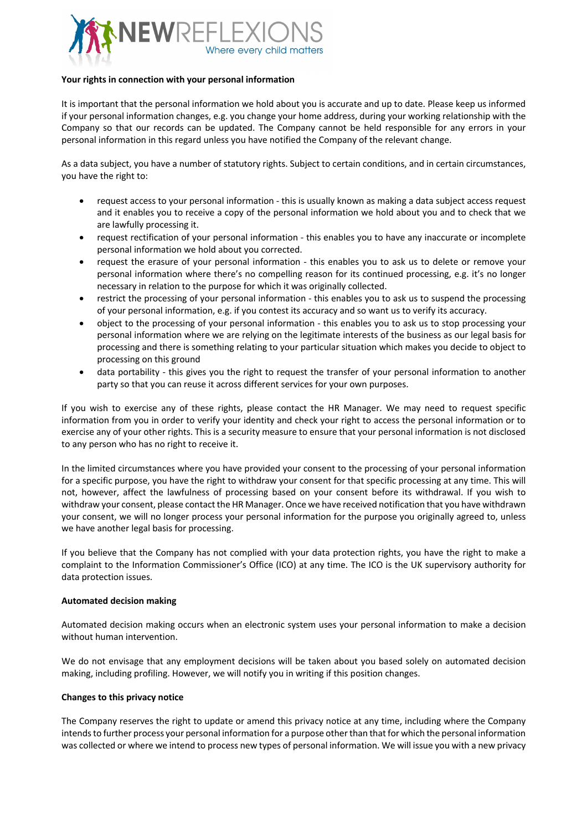

## **Your rights in connection with your personal information**

It is important that the personal information we hold about you is accurate and up to date. Please keep us informed if your personal information changes, e.g. you change your home address, during your working relationship with the Company so that our records can be updated. The Company cannot be held responsible for any errors in your personal information in this regard unless you have notified the Company of the relevant change.

As a data subject, you have a number of statutory rights. Subject to certain conditions, and in certain circumstances, you have the right to:

- request access to your personal information this is usually known as making a data subject access request and it enables you to receive a copy of the personal information we hold about you and to check that we are lawfully processing it.
- request rectification of your personal information this enables you to have any inaccurate or incomplete personal information we hold about you corrected.
- request the erasure of your personal information this enables you to ask us to delete or remove your personal information where there's no compelling reason for its continued processing, e.g. it's no longer necessary in relation to the purpose for which it was originally collected.
- restrict the processing of your personal information this enables you to ask us to suspend the processing of your personal information, e.g. if you contest its accuracy and so want us to verify its accuracy.
- object to the processing of your personal information this enables you to ask us to stop processing your personal information where we are relying on the legitimate interests of the business as our legal basis for processing and there is something relating to your particular situation which makes you decide to object to processing on this ground
- data portability this gives you the right to request the transfer of your personal information to another party so that you can reuse it across different services for your own purposes.

If you wish to exercise any of these rights, please contact the HR Manager. We may need to request specific information from you in order to verify your identity and check your right to access the personal information or to exercise any of your other rights. This is a security measure to ensure that your personal information is not disclosed to any person who has no right to receive it.

In the limited circumstances where you have provided your consent to the processing of your personal information for a specific purpose, you have the right to withdraw your consent for that specific processing at any time. This will not, however, affect the lawfulness of processing based on your consent before its withdrawal. If you wish to withdraw your consent, please contact the HR Manager. Once we have received notification that you have withdrawn your consent, we will no longer process your personal information for the purpose you originally agreed to, unless we have another legal basis for processing.

If you believe that the Company has not complied with your data protection rights, you have the right to make a complaint to the Information Commissioner's Office (ICO) at any time. The ICO is the UK supervisory authority for data protection issues.

## **Automated decision making**

Automated decision making occurs when an electronic system uses your personal information to make a decision without human intervention.

We do not envisage that any employment decisions will be taken about you based solely on automated decision making, including profiling. However, we will notify you in writing if this position changes.

## **Changes to this privacy notice**

The Company reserves the right to update or amend this privacy notice at any time, including where the Company intends to further process your personal information for a purpose other than that for which the personal information was collected or where we intend to process new types of personal information. We will issue you with a new privacy